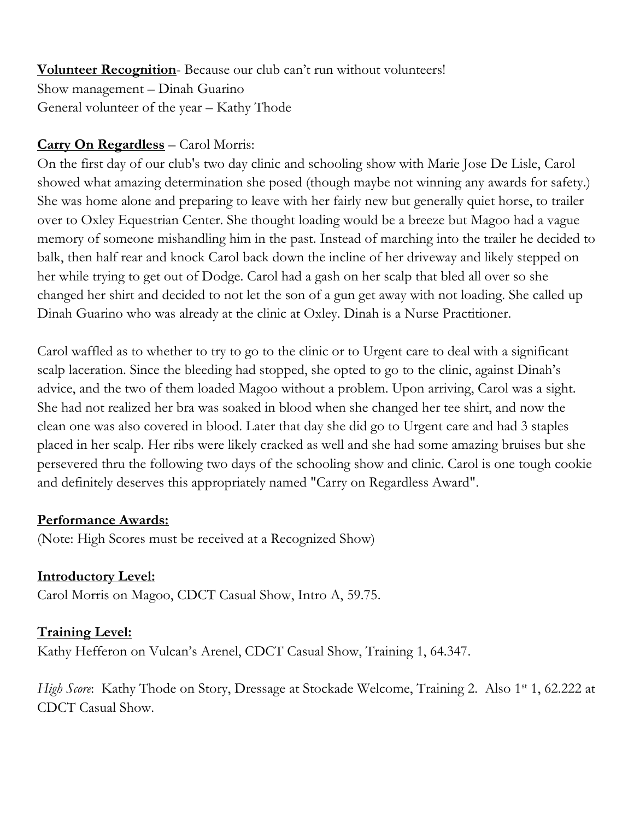# **Volunteer Recognition**- Because our club can't run without volunteers! Show management – Dinah Guarino General volunteer of the year – Kathy Thode

## **Carry On Regardless** – Carol Morris:

On the first day of our club's two day clinic and schooling show with Marie Jose De Lisle, Carol showed what amazing determination she posed (though maybe not winning any awards for safety.) She was home alone and preparing to leave with her fairly new but generally quiet horse, to trailer over to Oxley Equestrian Center. She thought loading would be a breeze but Magoo had a vague memory of someone mishandling him in the past. Instead of marching into the trailer he decided to balk, then half rear and knock Carol back down the incline of her driveway and likely stepped on her while trying to get out of Dodge. Carol had a gash on her scalp that bled all over so she changed her shirt and decided to not let the son of a gun get away with not loading. She called up Dinah Guarino who was already at the clinic at Oxley. Dinah is a Nurse Practitioner.

Carol waffled as to whether to try to go to the clinic or to Urgent care to deal with a significant scalp laceration. Since the bleeding had stopped, she opted to go to the clinic, against Dinah's advice, and the two of them loaded Magoo without a problem. Upon arriving, Carol was a sight. She had not realized her bra was soaked in blood when she changed her tee shirt, and now the clean one was also covered in blood. Later that day she did go to Urgent care and had 3 staples placed in her scalp. Her ribs were likely cracked as well and she had some amazing bruises but she persevered thru the following two days of the schooling show and clinic. Carol is one tough cookie and definitely deserves this appropriately named "Carry on Regardless Award".

## **Performance Awards:**

(Note: High Scores must be received at a Recognized Show)

## **Introductory Level:**

Carol Morris on Magoo, CDCT Casual Show, Intro A, 59.75.

## **Training Level:**

Kathy Hefferon on Vulcan's Arenel, CDCT Casual Show, Training 1, 64.347.

*High Score*: Kathy Thode on Story, Dressage at Stockade Welcome, Training 2. Also 1<sup>st</sup> 1, 62.222 at CDCT Casual Show.